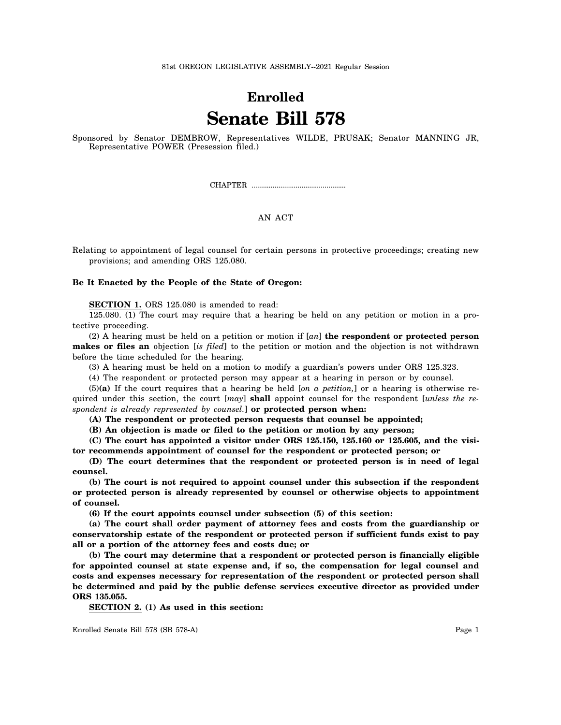## **Enrolled Senate Bill 578**

Sponsored by Senator DEMBROW, Representatives WILDE, PRUSAK; Senator MANNING JR, Representative POWER (Presession filed.)

CHAPTER .................................................

## AN ACT

Relating to appointment of legal counsel for certain persons in protective proceedings; creating new provisions; and amending ORS 125.080.

## **Be It Enacted by the People of the State of Oregon:**

**SECTION 1.** ORS 125.080 is amended to read:

125.080. (1) The court may require that a hearing be held on any petition or motion in a protective proceeding.

(2) A hearing must be held on a petition or motion if [*an*] **the respondent or protected person makes or files an** objection [*is filed*] to the petition or motion and the objection is not withdrawn before the time scheduled for the hearing.

(3) A hearing must be held on a motion to modify a guardian's powers under ORS 125.323.

(4) The respondent or protected person may appear at a hearing in person or by counsel.

(5)**(a)** If the court requires that a hearing be held [*on a petition,*] or a hearing is otherwise required under this section, the court [*may*] **shall** appoint counsel for the respondent [*unless the respondent is already represented by counsel.*] **or protected person when:**

**(A) The respondent or protected person requests that counsel be appointed;**

**(B) An objection is made or filed to the petition or motion by any person;**

**(C) The court has appointed a visitor under ORS 125.150, 125.160 or 125.605, and the visitor recommends appointment of counsel for the respondent or protected person; or**

**(D) The court determines that the respondent or protected person is in need of legal counsel.**

**(b) The court is not required to appoint counsel under this subsection if the respondent or protected person is already represented by counsel or otherwise objects to appointment of counsel.**

**(6) If the court appoints counsel under subsection (5) of this section:**

**(a) The court shall order payment of attorney fees and costs from the guardianship or conservatorship estate of the respondent or protected person if sufficient funds exist to pay all or a portion of the attorney fees and costs due; or**

**(b) The court may determine that a respondent or protected person is financially eligible for appointed counsel at state expense and, if so, the compensation for legal counsel and costs and expenses necessary for representation of the respondent or protected person shall be determined and paid by the public defense services executive director as provided under ORS 135.055.**

**SECTION 2. (1) As used in this section:**

Enrolled Senate Bill 578 (SB 578-A) Page 1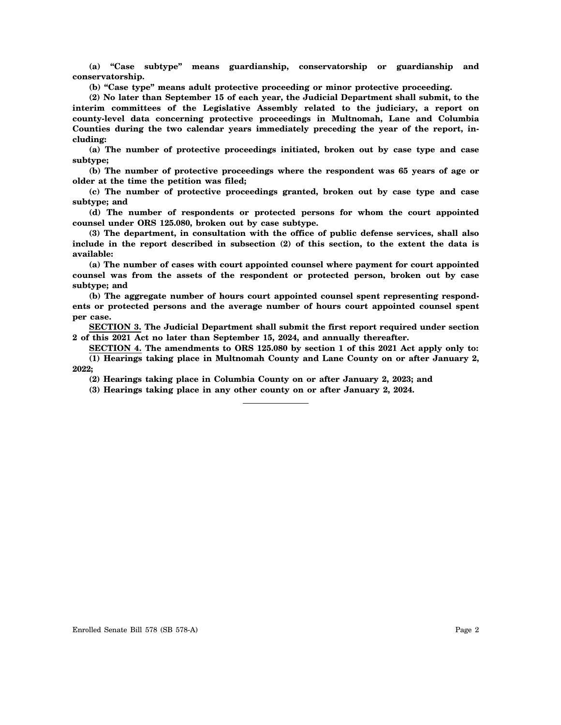**(a) "Case subtype" means guardianship, conservatorship or guardianship and conservatorship.**

**(b) "Case type" means adult protective proceeding or minor protective proceeding.**

**(2) No later than September 15 of each year, the Judicial Department shall submit, to the interim committees of the Legislative Assembly related to the judiciary, a report on county-level data concerning protective proceedings in Multnomah, Lane and Columbia Counties during the two calendar years immediately preceding the year of the report, including:**

**(a) The number of protective proceedings initiated, broken out by case type and case subtype;**

**(b) The number of protective proceedings where the respondent was 65 years of age or older at the time the petition was filed;**

**(c) The number of protective proceedings granted, broken out by case type and case subtype; and**

**(d) The number of respondents or protected persons for whom the court appointed counsel under ORS 125.080, broken out by case subtype.**

**(3) The department, in consultation with the office of public defense services, shall also include in the report described in subsection (2) of this section, to the extent the data is available:**

**(a) The number of cases with court appointed counsel where payment for court appointed counsel was from the assets of the respondent or protected person, broken out by case subtype; and**

**(b) The aggregate number of hours court appointed counsel spent representing respondents or protected persons and the average number of hours court appointed counsel spent per case.**

**SECTION 3. The Judicial Department shall submit the first report required under section 2 of this 2021 Act no later than September 15, 2024, and annually thereafter.**

**SECTION 4. The amendments to ORS 125.080 by section 1 of this 2021 Act apply only to: (1) Hearings taking place in Multnomah County and Lane County on or after January 2, 2022;**

**(2) Hearings taking place in Columbia County on or after January 2, 2023; and**

**(3) Hearings taking place in any other county on or after January 2, 2024.**